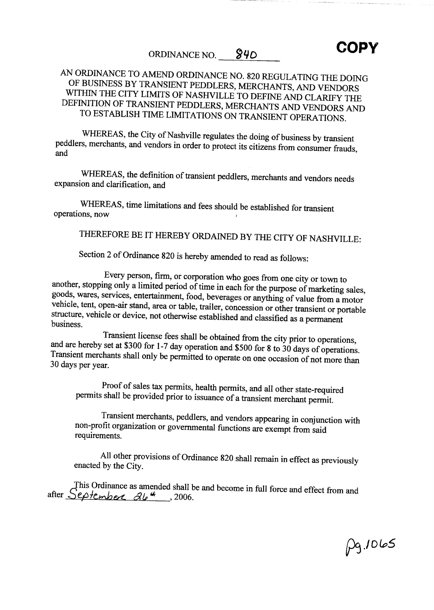ORDINANCE NO. 840 COPY

## AN ORDINANCE TO AMEND ORDINANCE NO <sup>820</sup> REGULATING THE DOING OF BUSINESS BY TRANSIENT PEDDLERS MERCHANTS AND VENDORS WITHIN THE CITY LIMITS OF NASHVILLE TO DEFINE AND CLARIFY THE DEFINITION OF TRANSIENT PEDDLERS MERCHANTS AND VENDORS AND TO ESTABLISH TIME LIMITATIONS ON TRANSIENT OPERATIONS

WHEREAS, the City of Nashville regulates the doing of business by transient peddlers, merchants, and vendors in order to protect its citizens from consumer frauds, and

WHEREAS, the definition of transient peddlers, merchants and vendors needs expansion and clarification, and

WHEREAS, time limitations and fees should be established for transient operations, now

THEREFORE BE IT HEREBY ORDAINED BY THE CITY OF NASHVILLE:

Section 2 of Ordinance 820 is hereby amended to read as follows:

Every person, firm, or corporation who goes from one city or town to another, stopping only a limited period of time in each for the purpose of marketing sales, goods, wares, services, entertainment, food, beverages or anything of value from a motor vehicle, tent, open-air stand, area or table, trailer, concession or other transient or portable structure, vehicle or device, not otherwise established and classified as a permanent business. structure, vehicle or device, not otherwise established and classified as a permanent

Transient license fees shall be obtained from the city prior to operations,<br>and are hereby set at \$300 for 1-7 day operation and \$500 for 8 to 30 days of operations.<br>Transient merchants shall only be permitted to operate o

Proof of sales tax permits, health permits, and all other state-required permits shall be provided prior to issuance of a transient merchant permit.

Transient merchants, peddlers, and vendors appearing in conjunction with non profit organization or governmental functions are exempt from said requirements

All other provisions of Ordinance 820 shall remain in effect as previously enacted by the City.

This Ordinance as amended shall be and become in full force and effect from and after  $\frac{\text{depth}}{\text{depth}}$ , 2006.

 $1065$